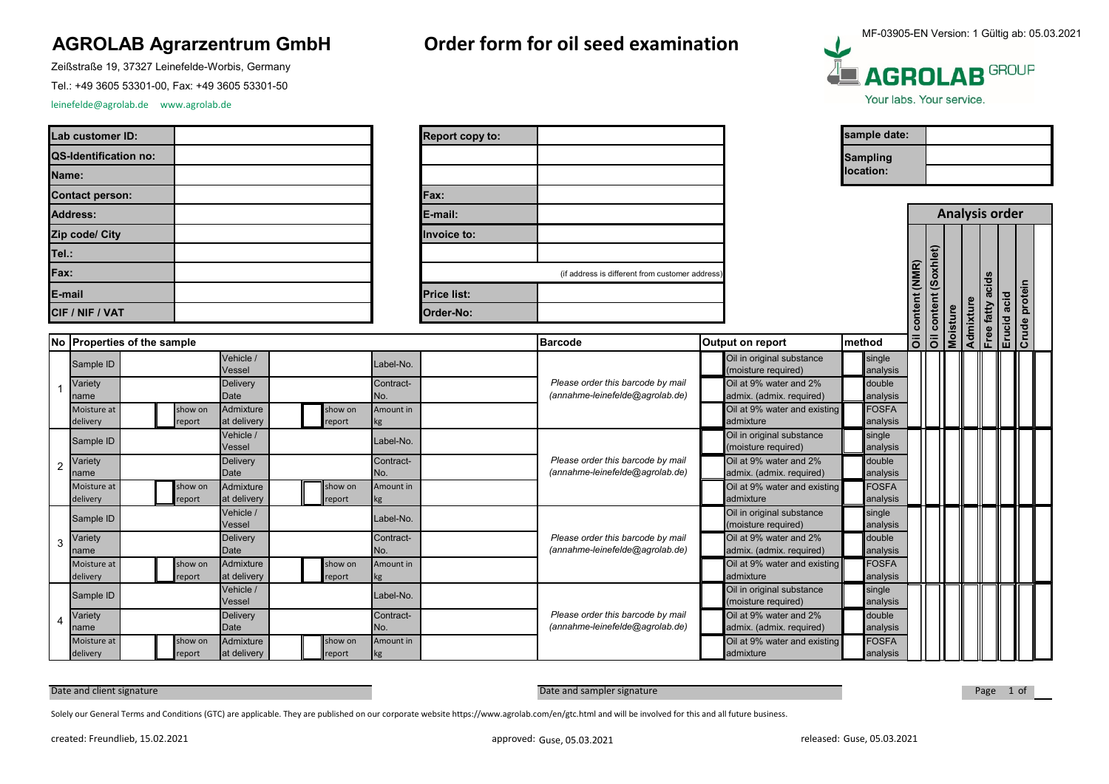## **AGROLAB Agrarzentrum GmbH Order form for oil seed examination**

Zeißstraße 19, 37327 Leinefelde-Worbis, Germany

Tel.: +49 3605 53301-00, Fax: +49 3605 53301-50

leinefelde@agrolab.de www.agrolab.de

Moisture at delivery

3

2

1

| Lab customer ID:       |  |
|------------------------|--|
| QS-Identification no:  |  |
| Name:                  |  |
| <b>Contact person:</b> |  |
| <b>Address:</b>        |  |
| Zip code/ City         |  |
| Tel.:                  |  |
| Fax:                   |  |
| E-mail                 |  |
| CIF / NIF / VAT        |  |

show on eport

at delivery

| Report copy to: |  |
|-----------------|--|
|                 |  |
|                 |  |
| Fax:            |  |
| E-mail:         |  |
| Invoice to:     |  |
|                 |  |
|                 |  |

MF-03905-EN Version: 1 Gültig ab: 05.03.2021**LE AGROLAB** GROUP Your labs, Your service.

| ab customer ID: |                             |  |  |                   |                                        |  |                                                |                   | Report copy to:  |                                   |                                                                      |                                                  |                                                    | sample date:              |                          |  |  |                 |           |                           |        |  |
|-----------------|-----------------------------|--|--|-------------------|----------------------------------------|--|------------------------------------------------|-------------------|------------------|-----------------------------------|----------------------------------------------------------------------|--------------------------------------------------|----------------------------------------------------|---------------------------|--------------------------|--|--|-----------------|-----------|---------------------------|--------|--|
|                 | <b>S-Identification no:</b> |  |  |                   |                                        |  |                                                |                   |                  |                                   |                                                                      |                                                  |                                                    |                           | <b>Sampling</b>          |  |  |                 |           |                           |        |  |
|                 | lame:                       |  |  |                   |                                        |  |                                                |                   |                  |                                   |                                                                      |                                                  |                                                    |                           | location:                |  |  |                 |           |                           |        |  |
|                 | ontact person:              |  |  |                   |                                        |  |                                                |                   |                  | Fax:                              |                                                                      |                                                  |                                                    |                           |                          |  |  |                 |           |                           |        |  |
| ddress:         |                             |  |  |                   |                                        |  |                                                |                   |                  | E-mail:                           |                                                                      |                                                  |                                                    |                           |                          |  |  |                 |           | <b>Analysis order</b>     |        |  |
|                 | ip code/ City               |  |  |                   |                                        |  |                                                |                   |                  | Invoice to:                       |                                                                      |                                                  |                                                    |                           |                          |  |  |                 |           |                           |        |  |
| el.:            |                             |  |  |                   |                                        |  |                                                |                   |                  |                                   |                                                                      |                                                  |                                                    |                           |                          |  |  |                 |           |                           |        |  |
|                 | ax:                         |  |  |                   |                                        |  | (if address is different from customer address |                   |                  |                                   |                                                                      | Oil content (NMR)<br>Oil content (Soxhlet)       |                                                    |                           |                          |  |  |                 |           |                           |        |  |
|                 | -mail                       |  |  |                   |                                        |  |                                                |                   |                  | <b>Price list:</b>                |                                                                      |                                                  |                                                    |                           |                          |  |  |                 |           | acids                     | protei |  |
|                 | IF / NIF / VAT              |  |  |                   |                                        |  |                                                |                   |                  | Order-No:                         |                                                                      |                                                  |                                                    |                           |                          |  |  |                 |           |                           |        |  |
|                 | lo Properties of the sample |  |  |                   |                                        |  |                                                |                   |                  |                                   | <b>Barcode</b>                                                       |                                                  | Output on report                                   |                           | method                   |  |  | <b>Moisture</b> | Admixture | Erucid acid<br>Free fatty | Crude  |  |
|                 | Sample ID                   |  |  |                   | Vehicle /                              |  |                                                |                   | Label-No.        |                                   |                                                                      |                                                  | Oil in original substance                          | single                    |                          |  |  |                 |           |                           |        |  |
|                 |                             |  |  |                   | Vessel<br><b>Delivery</b><br>Date      |  |                                                |                   |                  |                                   | Please order this barcode by mail<br>(annahme-leinefelde@agrolab.de) |                                                  | (moisture required)                                |                           | analysis<br>double       |  |  |                 |           |                           |        |  |
|                 | Variety<br>name             |  |  |                   |                                        |  |                                                |                   | Contract-<br>No. |                                   |                                                                      |                                                  | Oil at 9% water and 2%<br>admix. (admix. required) | analysis                  |                          |  |  |                 |           |                           |        |  |
|                 | Moisture at                 |  |  | show on           | Admixture                              |  |                                                | show on           | Amount in        |                                   |                                                                      |                                                  | Oil at 9% water and existing                       |                           | <b>FOSFA</b>             |  |  |                 |           |                           |        |  |
|                 | delivery                    |  |  | report            | at delivery<br>Vehicle /               |  |                                                | report            | kg               |                                   |                                                                      |                                                  | admixture<br>Oil in original substance             |                           | analysis<br>single       |  |  |                 |           |                           |        |  |
|                 | Sample ID                   |  |  |                   | Vessel                                 |  | _abel-No.                                      |                   |                  |                                   |                                                                      |                                                  | (moisture required)                                |                           | analysis                 |  |  |                 |           |                           |        |  |
|                 | Variety<br>name             |  |  |                   | <b>Delivery</b><br>Date                |  |                                                |                   | Contract-<br>No. |                                   | Please order this barcode by mail<br>(annahme-leinefelde@agrolab.de) |                                                  | Oil at 9% water and 2%<br>admix. (admix. required) |                           | double<br>analysis       |  |  |                 |           |                           |        |  |
|                 | Moisture at                 |  |  | show on           | Admixture                              |  |                                                | show on           | Amount in        |                                   |                                                                      |                                                  | Oil at 9% water and existing                       |                           | <b>FOSFA</b>             |  |  |                 |           |                           |        |  |
|                 | delivery                    |  |  | report            | at delivery                            |  |                                                | report            |                  |                                   |                                                                      |                                                  | admixture                                          |                           | analysis                 |  |  |                 |           |                           |        |  |
| 3               | Sample ID                   |  |  |                   | Vehicle /<br>Vessel<br><b>Delivery</b> |  |                                                | Label-No.         |                  |                                   |                                                                      | Oil in original substance<br>(moisture required) |                                                    | single<br>analysis        |                          |  |  |                 |           |                           |        |  |
|                 | Variety                     |  |  |                   |                                        |  |                                                | Contract-         |                  | Please order this barcode by mail |                                                                      | Oil at 9% water and 2%                           | double                                             |                           |                          |  |  |                 |           |                           |        |  |
|                 | name                        |  |  |                   | Date<br>Admixture                      |  |                                                |                   | No.              |                                   | (annahme-leinefelde@agrolab.de)                                      |                                                  | admix. (admix. required)                           |                           | analysis<br><b>FOSFA</b> |  |  |                 |           |                           |        |  |
|                 | Moisture at<br>delivery     |  |  | show on<br>report | at delivery                            |  |                                                | show on<br>report | Amount in        |                                   |                                                                      |                                                  | Oil at 9% water and existing<br>admixture          |                           | analysis                 |  |  |                 |           |                           |        |  |
|                 | Sample ID                   |  |  |                   | Vehicle /                              |  |                                                |                   | Label-No.        |                                   |                                                                      |                                                  | Oil in original substance                          |                           | single                   |  |  |                 |           |                           |        |  |
|                 | Variety                     |  |  |                   | Vessel<br>Delivery                     |  |                                                | Contract-         |                  | Please order this barcode by mail |                                                                      | (moisture required)<br>Oil at 9% water and 2%    |                                                    | analysis<br><b>double</b> |                          |  |  |                 |           |                           |        |  |
|                 | name                        |  |  |                   | Date                                   |  |                                                |                   | No.              |                                   | (annahme-leinefelde@agrolab.de)                                      |                                                  | admix. (admix. required)                           |                           | analysis                 |  |  |                 |           |                           |        |  |
|                 | Moisture at                 |  |  | show on           | Admixture                              |  |                                                | show on           | Amount in        |                                   |                                                                      |                                                  | Oil at 9% water and existing                       |                           | <b>FOSFA</b>             |  |  |                 |           |                           |        |  |

Date and client signature **Date and Sampler Signature** Date and sampler signature **Date and Sampler Signature** Page 1 of

Solely our General Terms and Conditions (GTC) are applicable. They are published on our corporate website https://www.agrolab.com/en/gtc.html and will be involved for this and all future business.

report

kg

analysis

admixture